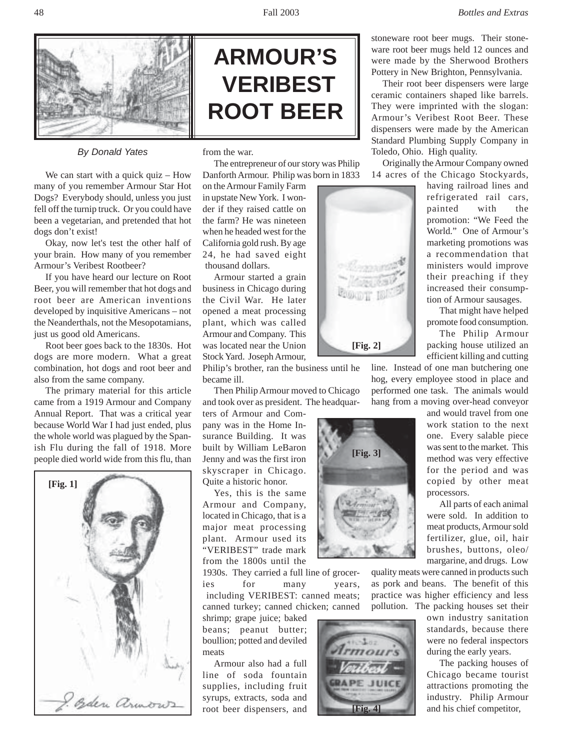

## *By Donald Yates*

We can start with a quick quiz – How many of you remember Armour Star Hot Dogs? Everybody should, unless you just fell off the turnip truck. Or you could have been a vegetarian, and pretended that hot dogs don't exist!

Okay, now let's test the other half of your brain. How many of you remember Armour's Veribest Rootbeer?

If you have heard our lecture on Root Beer, you will remember that hot dogs and root beer are American inventions developed by inquisitive Americans – not the Neanderthals, not the Mesopotamians, just us good old Americans.

Root beer goes back to the 1830s. Hot dogs are more modern. What a great combination, hot dogs and root beer and also from the same company.

The primary material for this article came from a 1919 Armour and Company Annual Report. That was a critical year because World War I had just ended, plus the whole world was plagued by the Spanish Flu during the fall of 1918. More people died world wide from this flu, than





from the war.

The entrepreneur of our story was Philip Danforth Armour. Philip was born in 1833

on the Armour Family Farm in upstate New York. I wonder if they raised cattle on the farm? He was nineteen when he headed west for the California gold rush. By age 24, he had saved eight thousand dollars.

Armour started a grain business in Chicago during the Civil War. He later opened a meat processing plant, which was called Armour and Company. This was located near the Union Stock Yard. Joseph Armour,

Philip's brother, ran the business until he became ill.

Then Philip Armour moved to Chicago and took over as president. The headquar-

ters of Armour and Company was in the Home Insurance Building. It was built by William LeBaron Jenny and was the first iron skyscraper in Chicago. Quite a historic honor.

Yes, this is the same Armour and Company, located in Chicago, that is a major meat processing plant. Armour used its "VERIBEST" trade mark from the 1800s until the

1930s. They carried a full line of grocer-

ies for many years, including VERIBEST: canned meats; canned turkey; canned chicken; canned

shrimp; grape juice; baked beans; peanut butter; boullion; potted and deviled meats

Armour also had a full line of soda fountain supplies, including fruit syrups, extracts, soda and root beer dispensers, and



**[Fig. 3]**

**[Fig. 4]**

 $JUIC$ 

**GRAPE** 

stoneware root beer mugs. Their stoneware root beer mugs held 12 ounces and were made by the Sherwood Brothers Pottery in New Brighton, Pennsylvania.

Their root beer dispensers were large ceramic containers shaped like barrels. They were imprinted with the slogan: Armour's Veribest Root Beer. These dispensers were made by the American Standard Plumbing Supply Company in Toledo, Ohio. High quality.

Originally the Armour Company owned 14 acres of the Chicago Stockyards,

having railroad lines and refrigerated rail cars, painted with the promotion: "We Feed the World." One of Armour's marketing promotions was a recommendation that ministers would improve their preaching if they increased their consumption of Armour sausages.

That might have helped promote food consumption.

The Philip Armour packing house utilized an efficient killing and cutting

line. Instead of one man butchering one hog, every employee stood in place and performed one task. The animals would hang from a moving over-head conveyor

> and would travel from one work station to the next one. Every salable piece was sent to the market. This method was very effective for the period and was copied by other meat processors.

All parts of each animal were sold. In addition to meat products, Armour sold fertilizer, glue, oil, hair brushes, buttons, oleo/ margarine, and drugs. Low

quality meats were canned in products such as pork and beans. The benefit of this practice was higher efficiency and less pollution. The packing houses set their

own industry sanitation standards, because there were no federal inspectors during the early years.

The packing houses of Chicago became tourist attractions promoting the industry. Philip Armour and his chief competitor,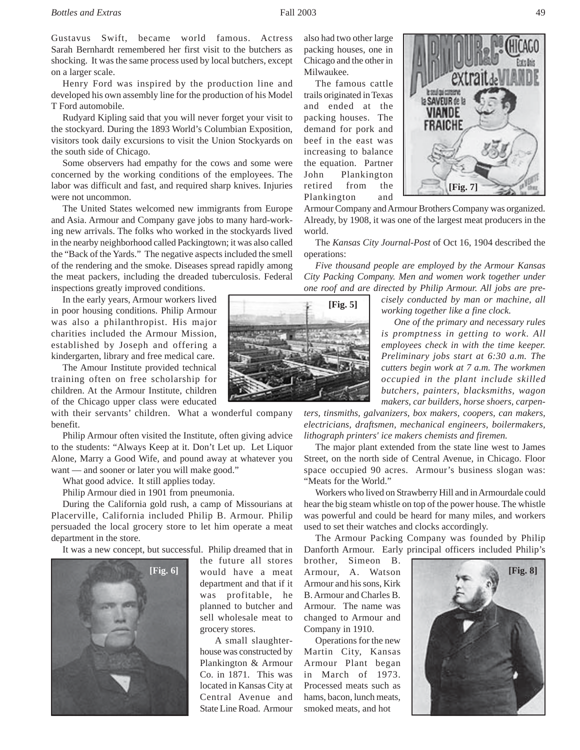Gustavus Swift, became world famous. Actress Sarah Bernhardt remembered her first visit to the butchers as shocking. It was the same process used by local butchers, except on a larger scale.

Henry Ford was inspired by the production line and developed his own assembly line for the production of his Model T Ford automobile.

Rudyard Kipling said that you will never forget your visit to the stockyard. During the 1893 World's Columbian Exposition, visitors took daily excursions to visit the Union Stockyards on the south side of Chicago.

Some observers had empathy for the cows and some were concerned by the working conditions of the employees. The labor was difficult and fast, and required sharp knives. Injuries were not uncommon.

The United States welcomed new immigrants from Europe and Asia. Armour and Company gave jobs to many hard-working new arrivals. The folks who worked in the stockyards lived in the nearby neighborhood called Packingtown; it was also called the "Back of the Yards." The negative aspects included the smell of the rendering and the smoke. Diseases spread rapidly among the meat packers, including the dreaded tuberculosis. Federal inspections greatly improved conditions.

In the early years, Armour workers lived in poor housing conditions. Philip Armour was also a philanthropist. His major charities included the Armour Mission, established by Joseph and offering a kindergarten, library and free medical care.

The Amour Institute provided technical training often on free scholarship for children. At the Armour Institute, children of the Chicago upper class were educated

with their servants' children. What a wonderful company benefit.

Philip Armour often visited the Institute, often giving advice to the students: "Always Keep at it. Don't Let up. Let Liquor Alone, Marry a Good Wife, and pound away at whatever you want — and sooner or later you will make good."

What good advice. It still applies today.

Philip Armour died in 1901 from pneumonia.

During the California gold rush, a camp of Missourians at Placerville, California included Philip B. Armour. Philip persuaded the local grocery store to let him operate a meat department in the store.

It was a new concept, but successful. Philip dreamed that in



the future all stores would have a meat department and that if it was profitable, he planned to butcher and sell wholesale meat to grocery stores.

 A small slaughterhouse was constructed by Plankington & Armour Co. in 1871. This was located in Kansas City at Central Avenue and State Line Road. Armour also had two other large packing houses, one in Chicago and the other in Milwaukee.

The famous cattle trails originated in Texas and ended at the packing houses. The demand for pork and beef in the east was increasing to balance the equation. Partner John Plankington retired from the Plankington and



Armour Company and Armour Brothers Company was organized. Already, by 1908, it was one of the largest meat producers in the

The *Kansas City Journal-Post* of Oct 16, 1904 described the

*Five thousand people are employed by the Armour Kansas City Packing Company. Men and women work together under one roof and are directed by Philip Armour. All jobs are pre-*

> *cisely conducted by man or machine, all working together like a fine clock.*

 *One of the primary and necessary rules is promptness in getting to work. All employees check in with the time keeper. Preliminary jobs start at 6:30 a.m. The cutters begin work at 7 a.m. The workmen occupied in the plant include skilled butchers, painters, blacksmiths, wagon makers, car builders, horse shoers, carpen-*

*ters, tinsmiths, galvanizers, box makers, coopers, can makers, electricians, draftsmen, mechanical engineers, boilermakers, lithograph printers' ice makers chemists and firemen.*

The major plant extended from the state line west to James Street, on the north side of Central Avenue, in Chicago. Floor space occupied 90 acres. Armour's business slogan was: "Meats for the World."

Workers who lived on Strawberry Hill and in Armourdale could hear the big steam whistle on top of the power house. The whistle was powerful and could be heard for many miles, and workers used to set their watches and clocks accordingly.

The Armour Packing Company was founded by Philip Danforth Armour. Early principal officers included Philip's

brother, Simeon B. Armour and his sons, Kirk B. Armour and Charles B. Armour. The name was changed to Armour and Company in 1910.

Operations for the new Martin City, Kansas Armour Plant began in March of 1973. Processed meats such as hams, bacon, lunch meats, smoked meats, and hot





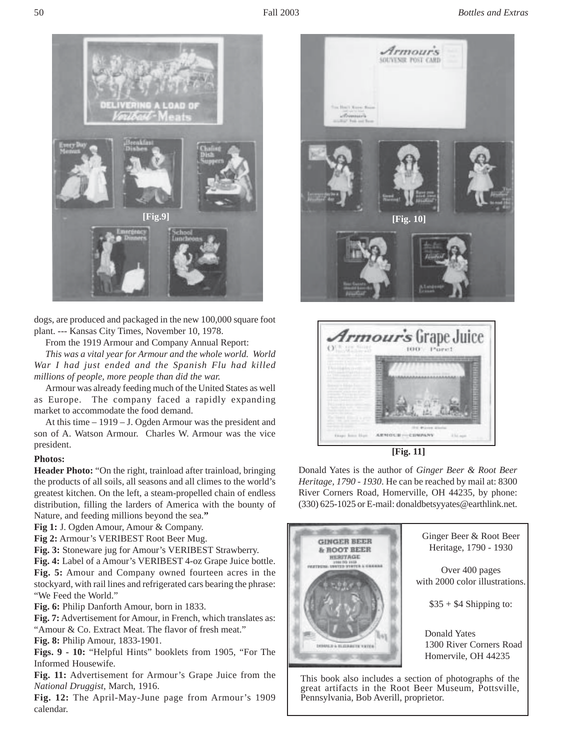

dogs, are produced and packaged in the new 100,000 square foot plant. --- Kansas City Times, November 10, 1978.

From the 1919 Armour and Company Annual Report:

*This was a vital year for Armour and the whole world. World War I had just ended and the Spanish Flu had killed millions of people, more people than did the war.*

Armour was already feeding much of the United States as well as Europe. The company faced a rapidly expanding market to accommodate the food demand.

At this time – 1919 – J. Ogden Armour was the president and son of A. Watson Armour. Charles W. Armour was the vice president.

## **Photos:**

**Header Photo:** "On the right, trainload after trainload, bringing the products of all soils, all seasons and all climes to the world's greatest kitchen. On the left, a steam-propelled chain of endless distribution, filling the larders of America with the bounty of Nature, and feeding millions beyond the sea.**"**

**Fig 1:** J. Ogden Amour, Amour & Company.

**Fig 2:** Armour's VERIBEST Root Beer Mug.

**Fig. 3:** Stoneware jug for Amour's VERIBEST Strawberry.

**Fig. 4:** Label of a Amour's VERIBEST 4-oz Grape Juice bottle. **Fig. 5:** Amour and Company owned fourteen acres in the stockyard, with rail lines and refrigerated cars bearing the phrase: "We Feed the World."

**Fig. 6:** Philip Danforth Amour, born in 1833.

**Fig. 7:** Advertisement for Amour, in French, which translates as: "Amour & Co. Extract Meat. The flavor of fresh meat."

**Fig. 8:** Philip Amour, 1833-1901.

**Figs. 9 - 10:** "Helpful Hints" booklets from 1905, "For The Informed Housewife.

**Fig. 11:** Advertisement for Armour's Grape Juice from the *National Druggist*, March, 1916.

**Fig. 12:** The April-May-June page from Armour's 1909 calendar.





**[Fig. 11]**

Donald Yates is the author of *Ginger Beer & Root Beer Heritage, 1790 - 1930*. He can be reached by mail at: 8300 River Corners Road, Homerville, OH 44235, by phone: (330) 625-1025 or E-mail: donaldbetsyyates@earthlink.net.



great artifacts in the Root Beer Museum, Pottsville, Pennsylvania, Bob Averill, proprietor.